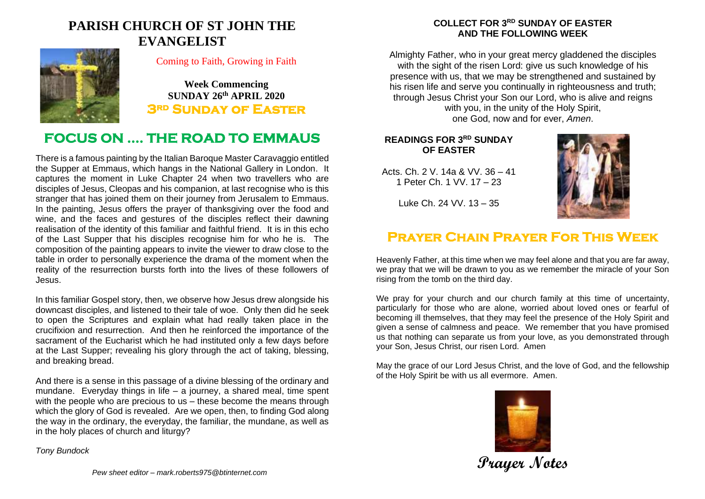# **PARISH CHURCH OF ST JOHN THE EVANGELIST**



#### Coming to Faith, Growing in Faith

**Week Commencing SUNDAY 26th APRIL 2020 3rd Sunday of Easter** 

# **FOCUS ON …. THE ROAD TO EMMAUS**

There is a famous painting by the Italian Baroque Master Caravaggio entitled the Supper at Emmaus, which hangs in the National Gallery in London. It captures the moment in Luke Chapter 24 when two travellers who are disciples of Jesus, Cleopas and his companion, at last recognise who is this stranger that has joined them on their journey from Jerusalem to Emmaus. In the painting, Jesus offers the prayer of thanksgiving over the food and wine, and the faces and gestures of the disciples reflect their dawning realisation of the identity of this familiar and faithful friend. It is in this echo of the Last Supper that his disciples recognise him for who he is. The composition of the painting appears to invite the viewer to draw close to the table in order to personally experience the drama of the moment when the reality of the resurrection bursts forth into the lives of these followers of Jesus.

In this familiar Gospel story, then, we observe how Jesus drew alongside his downcast disciples, and listened to their tale of woe. Only then did he seek to open the Scriptures and explain what had really taken place in the crucifixion and resurrection. And then he reinforced the importance of the sacrament of the Eucharist which he had instituted only a few days before at the Last Supper; revealing his glory through the act of taking, blessing, and breaking bread.

And there is a sense in this passage of a divine blessing of the ordinary and mundane. Everyday things in life – a journey, a shared meal, time spent with the people who are precious to us – these become the means through which the glory of God is revealed. Are we open, then, to finding God along the way in the ordinary, the everyday, the familiar, the mundane, as well as in the holy places of church and liturgy?

#### **COLLECT FOR 3 RD SUNDAY OF EASTER AND THE FOLLOWING WEEK**

Almighty Father, who in your great mercy gladdened the disciples with the sight of the risen Lord: give us such knowledge of his presence with us, that we may be strengthened and sustained by his risen life and serve you continually in righteousness and truth; through Jesus Christ your Son our Lord, who is alive and reigns with you, in the unity of the Holy Spirit, one God, now and for ever, *Amen*.

### **READINGS FOR 3<sup>RD</sup> SUNDAY OF EASTER**

Acts. Ch. 2 V. 14a & VV. 36 – 41 1 Peter Ch. 1 VV. 17 – 23



Luke Ch. 24 VV. 13 – 35

# **Prayer Chain Prayer For This Week**

Heavenly Father, at this time when we may feel alone and that you are far away, we pray that we will be drawn to you as we remember the miracle of your Son rising from the tomb on the third day.

We pray for your church and our church family at this time of uncertainty, particularly for those who are alone, worried about loved ones or fearful of becoming ill themselves, that they may feel the presence of the Holy Spirit and given a sense of calmness and peace. We remember that you have promised us that nothing can separate us from your love, as you demonstrated through your Son, Jesus Christ, our risen Lord. Amen

May the grace of our Lord Jesus Christ, and the love of God, and the fellowship of the Holy Spirit be with us all evermore. Amen.



**Prayer Notes**

*Tony Bundock*